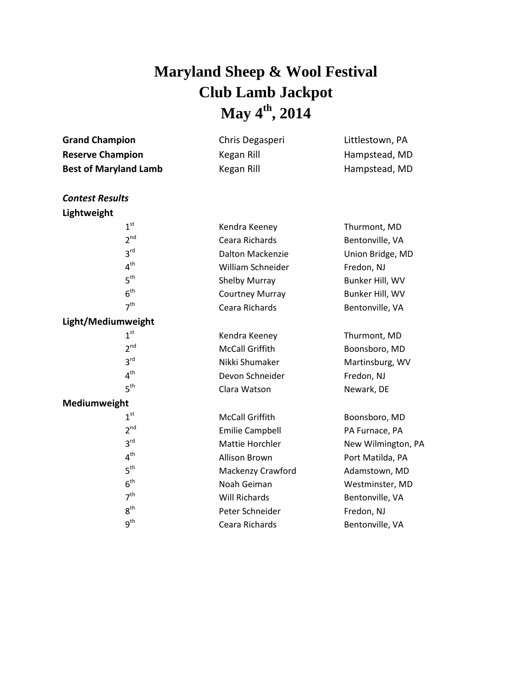## **Maryland Sheep & Wool Festival Club Lamb Jackpot May 4 th , 2014**

| <b>Grand Champion</b>        | Chris Degasperi          | Littlestown, PA                |
|------------------------------|--------------------------|--------------------------------|
| <b>Reserve Champion</b>      | Kegan Rill<br>Kegan Rill | Hampstead, MD<br>Hampstead, MD |
| <b>Best of Maryland Lamb</b> |                          |                                |
| <b>Contest Results</b>       |                          |                                |
| Lightweight                  |                          |                                |
| 1 <sup>st</sup>              | Kendra Keeney            | Thurmont, MD                   |
| 2 <sup>nd</sup>              | Ceara Richards           | Bentonville, VA                |
| 3 <sup>rd</sup>              | <b>Dalton Mackenzie</b>  | Union Bridge, MD               |
| 4 <sup>th</sup>              | William Schneider        | Fredon, NJ                     |
| 5 <sup>th</sup>              | <b>Shelby Murray</b>     | Bunker Hill, WV                |
| 6 <sup>th</sup>              | <b>Courtney Murray</b>   | Bunker Hill, WV                |
| 7 <sup>th</sup>              | Ceara Richards           | Bentonville, VA                |
| Light/Mediumweight           |                          |                                |
| 1 <sup>st</sup>              | Kendra Keeney            | Thurmont, MD                   |
| $2^{nd}$                     | <b>McCall Griffith</b>   | Boonsboro, MD                  |
| 3 <sup>rd</sup>              | Nikki Shumaker           | Martinsburg, WV                |
| 4 <sup>th</sup>              | Devon Schneider          | Fredon, NJ                     |
| 5 <sup>th</sup>              | Clara Watson             | Newark, DE                     |
| Mediumweight                 |                          |                                |
| 1 <sup>st</sup>              | <b>McCall Griffith</b>   | Boonsboro, MD                  |
| 2 <sup>nd</sup>              | <b>Emilie Campbell</b>   | PA Furnace, PA                 |
| 3 <sup>rd</sup>              | Mattie Horchler          | New Wilmington, PA             |
| 4 <sup>th</sup>              | Allison Brown            | Port Matilda, PA               |
| 5 <sup>th</sup>              | Mackenzy Crawford        | Adamstown, MD                  |
| 6 <sup>th</sup>              | Noah Geiman              | Westminster, MD                |
| 7 <sup>th</sup>              | <b>Will Richards</b>     | Bentonville, VA                |
| 8 <sup>th</sup>              | Peter Schneider          | Fredon, NJ                     |
| q <sup>th</sup>              | Ceara Richards           | Bentonville, VA                |